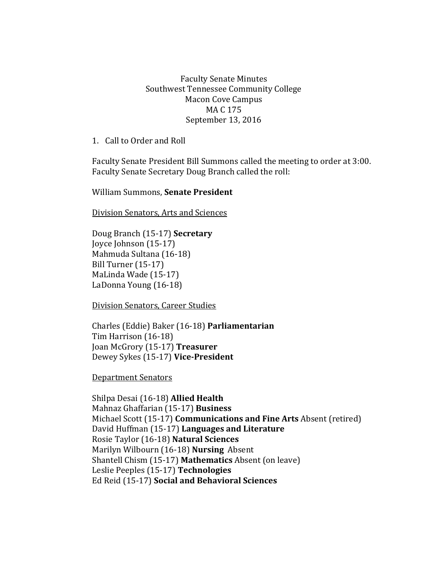## Faculty Senate Minutes Southwest Tennessee Community College Macon Cove Campus MA C 175 September 13, 2016

1. Call to Order and Roll

Faculty Senate President Bill Summons called the meeting to order at 3:00. Faculty Senate Secretary Doug Branch called the roll:

William Summons, **Senate President**

Division Senators, Arts and Sciences

Doug Branch (15-17) **Secretary** Joyce Johnson (15-17) Mahmuda Sultana (16-18) Bill Turner (15-17) MaLinda Wade (15-17) LaDonna Young (16-18)

Division Senators, Career Studies

Charles (Eddie) Baker (16-18) **Parliamentarian** Tim Harrison (16-18) Joan McGrory (15-17) **Treasurer** Dewey Sykes (15-17) **Vice-President**

Department Senators

Shilpa Desai (16-18) **Allied Health** Mahnaz Ghaffarian (15-17) **Business** Michael Scott (15-17) **Communications and Fine Arts** Absent (retired) David Huffman (15-17) **Languages and Literature** Rosie Taylor (16-18) **Natural Sciences**  Marilyn Wilbourn (16-18) **Nursing** Absent Shantell Chism (15-17) **Mathematics** Absent (on leave) Leslie Peeples (15-17) **Technologies**  Ed Reid (15-17) **Social and Behavioral Sciences**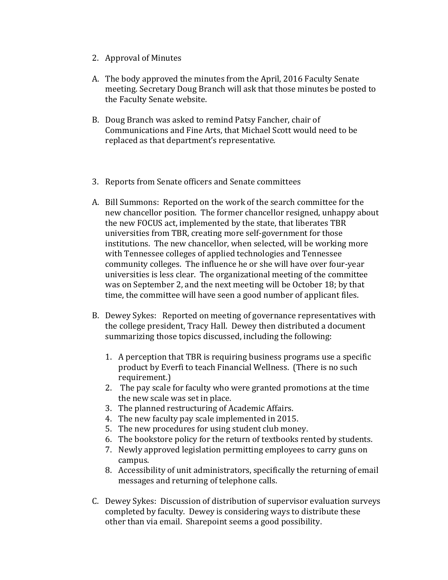- 2. Approval of Minutes
- A. The body approved the minutes from the April, 2016 Faculty Senate meeting. Secretary Doug Branch will ask that those minutes be posted to the Faculty Senate website.
- B. Doug Branch was asked to remind Patsy Fancher, chair of Communications and Fine Arts, that Michael Scott would need to be replaced as that department's representative.
- 3. Reports from Senate officers and Senate committees
- A. Bill Summons: Reported on the work of the search committee for the new chancellor position. The former chancellor resigned, unhappy about the new FOCUS act, implemented by the state, that liberates TBR universities from TBR, creating more self-government for those institutions. The new chancellor, when selected, will be working more with Tennessee colleges of applied technologies and Tennessee community colleges. The influence he or she will have over four-year universities is less clear. The organizational meeting of the committee was on September 2, and the next meeting will be October 18; by that time, the committee will have seen a good number of applicant files.
- B. Dewey Sykes: Reported on meeting of governance representatives with the college president, Tracy Hall. Dewey then distributed a document summarizing those topics discussed, including the following:
	- 1. A perception that TBR is requiring business programs use a specific product by Everfi to teach Financial Wellness. (There is no such requirement.)
	- 2. The pay scale for faculty who were granted promotions at the time the new scale was set in place.
	- 3. The planned restructuring of Academic Affairs.
	- 4. The new faculty pay scale implemented in 2015.
	- 5. The new procedures for using student club money.
	- 6. The bookstore policy for the return of textbooks rented by students.
	- 7. Newly approved legislation permitting employees to carry guns on campus.
	- 8. Accessibility of unit administrators, specifically the returning of email messages and returning of telephone calls.
- C. Dewey Sykes: Discussion of distribution of supervisor evaluation surveys completed by faculty. Dewey is considering ways to distribute these other than via email. Sharepoint seems a good possibility.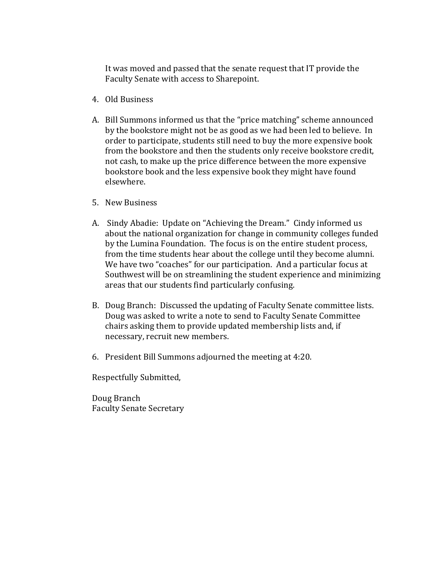It was moved and passed that the senate request that IT provide the Faculty Senate with access to Sharepoint.

- 4. Old Business
- A. Bill Summons informed us that the "price matching" scheme announced by the bookstore might not be as good as we had been led to believe. In order to participate, students still need to buy the more expensive book from the bookstore and then the students only receive bookstore credit, not cash, to make up the price difference between the more expensive bookstore book and the less expensive book they might have found elsewhere.
- 5. New Business
- A. Sindy Abadie: Update on "Achieving the Dream." Cindy informed us about the national organization for change in community colleges funded by the Lumina Foundation. The focus is on the entire student process, from the time students hear about the college until they become alumni. We have two "coaches" for our participation. And a particular focus at Southwest will be on streamlining the student experience and minimizing areas that our students find particularly confusing.
- B. Doug Branch: Discussed the updating of Faculty Senate committee lists. Doug was asked to write a note to send to Faculty Senate Committee chairs asking them to provide updated membership lists and, if necessary, recruit new members.
- 6. President Bill Summons adjourned the meeting at 4:20.

Respectfully Submitted,

Doug Branch Faculty Senate Secretary